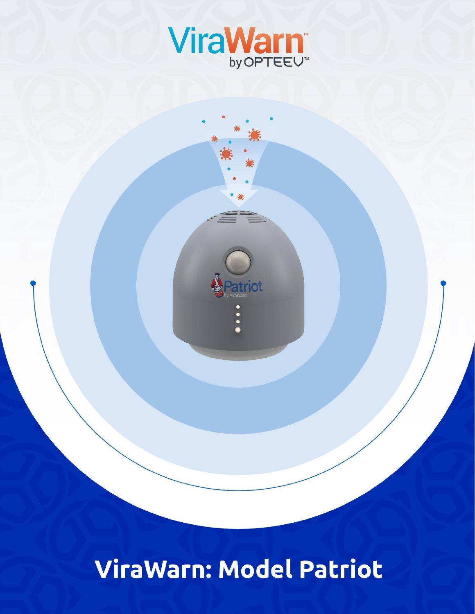

triot

ViraWarn: Model Patriot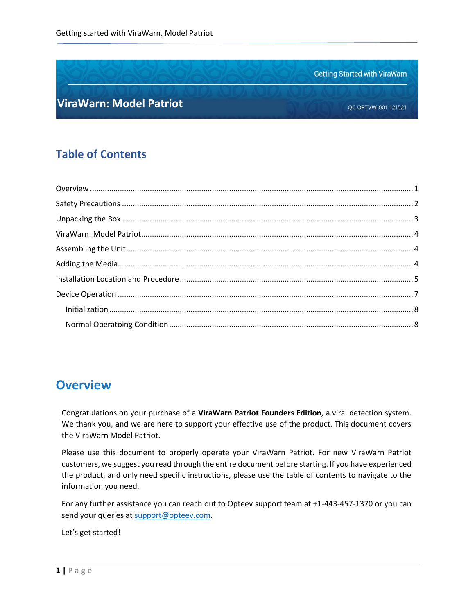**Getting Started with ViraWarn** 

#### **ViraWarn: Model Patriot**

### **Table of Contents**

#### <span id="page-1-0"></span>**Overview**

Congratulations on your purchase of a **ViraWarn Patriot Founders Edition**, a viral detection system. We thank you, and we are here to support your effective use of the product. This document covers the ViraWarn Model Patriot.

Please use this document to properly operate your ViraWarn Patriot. For new ViraWarn Patriot customers, we suggest you read through the entire document before starting. If you have experienced the product, and only need specific instructions, please use the table of contents to navigate to the information you need.

For any further assistance you can reach out to Opteev support team at +1-443-457-1370 or you can send your queries at [support@opteev.com.](mailto:support@opteev.com)

Let's get started!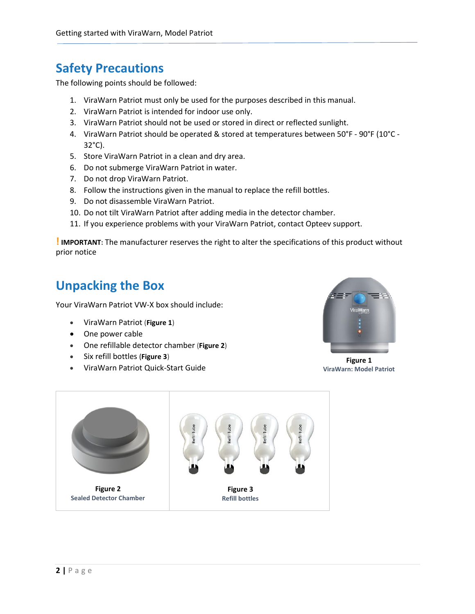## **Safety Precautions**

The following points should be followed:

- 1. ViraWarn Patriot must only be used for the purposes described in this manual.
- 2. ViraWarn Patriot is intended for indoor use only.
- 3. ViraWarn Patriot should not be used or stored in direct or reflected sunlight.
- 4. ViraWarn Patriot should be operated & stored at temperatures between 50°F 90°F (10°C 32°C).
- 5. Store ViraWarn Patriot in a clean and dry area.
- 6. Do not submerge ViraWarn Patriot in water.
- 7. Do not drop ViraWarn Patriot.
- 8. Follow the instructions given in the manual to replace the refill bottles.
- 9. Do not disassemble ViraWarn Patriot.
- 10. Do not tilt ViraWarn Patriot after adding media in the detector chamber.
- <span id="page-2-0"></span>11. If you experience problems with your ViraWarn Patriot, contact Opteev support.

**!IMPORTANT:** The manufacturer reserves the right to alter the specifications of this product without prior notice

### **Unpacking the Box**

Your ViraWarn Patriot VW-X box should include:

- ViraWarn Patriot (**Figure 1**)
- One power cable
- One refillable detector chamber (**Figure 2**)
- Six refill bottles (**Figure 3**)
- ViraWarn Patriot Quick-Start Guide



**Figure 1 ViraWarn: Model Patriot**

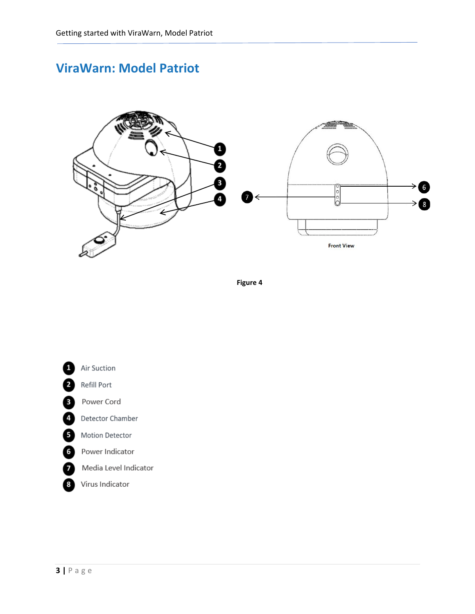# **ViraWarn: Model Patriot**



**Figure 4**

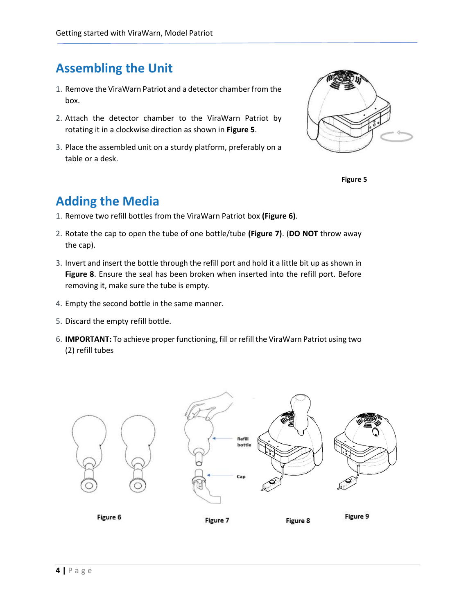# **Assembling the Unit**

- 1. Remove the ViraWarn Patriot and a detector chamber from the box.
- 2. Attach the detector chamber to the ViraWarn Patriot by rotating it in a clockwise direction as shown in **Figure 5**.
- 3. Place the assembled unit on a sturdy platform, preferably on a table or a desk.





## <span id="page-4-0"></span>**Adding the Media**

- 1. Remove two refill bottles from the ViraWarn Patriot box **(Figure 6)**.
- 2. Rotate the cap to open the tube of one bottle/tube **(Figure 7)**. (**DO NOT** throw away the cap).
- 3. Invert and insert the bottle through the refill port and hold it a little bit up as shown in **Figure 8**. Ensure the seal has been broken when inserted into the refill port. Before removing it, make sure the tube is empty.
- 4. Empty the second bottle in the same manner.
- 5. Discard the empty refill bottle.
- 6. **IMPORTANT:** To achieve proper functioning, fill or refill the ViraWarn Patriot using two (2) refill tubes

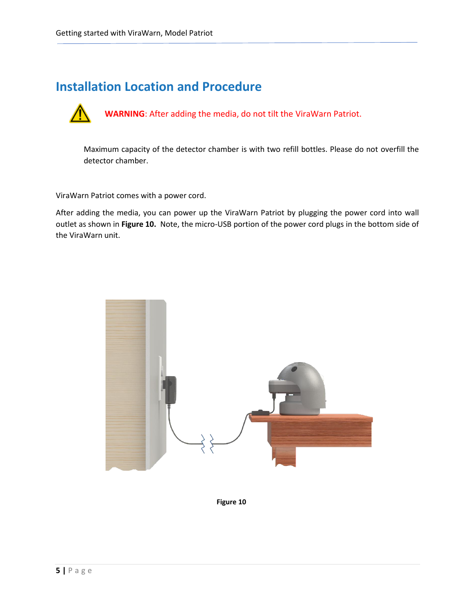### <span id="page-5-0"></span>**Installation Location and Procedure**



 **WARNING**: After adding the media, do not tilt the ViraWarn Patriot.

Maximum capacity of the detector chamber is with two refill bottles. Please do not overfill the detector chamber.

ViraWarn Patriot comes with a power cord.

After adding the media, you can power up the ViraWarn Patriot by plugging the power cord into wall outlet as shown in **Figure 10.** Note, the micro-USB portion of the power cord plugs in the bottom side of the ViraWarn unit.



**Figure 10**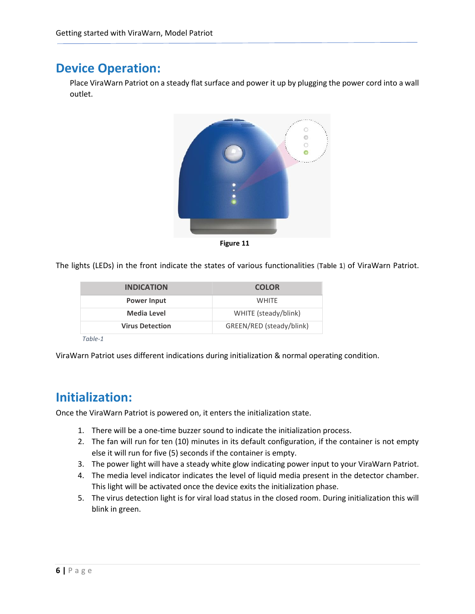### **Device Operation:**

Place ViraWarn Patriot on a steady flat surface and power it up by plugging the power cord into a wall outlet.



**Figure 11**

The lights (LEDs) in the front indicate the states of various functionalities (**Table 1**) of ViraWarn Patriot.

| <b>INDICATION</b>      | <b>COLOR</b>             |
|------------------------|--------------------------|
| <b>Power Input</b>     | <b>WHITE</b>             |
| <b>Media Level</b>     | WHITE (steady/blink)     |
| <b>Virus Detection</b> | GREEN/RED (steady/blink) |
|                        |                          |

*Table-1*

ViraWarn Patriot uses different indications during initialization & normal operating condition.

#### **Initialization:**

Once the ViraWarn Patriot is powered on, it enters the initialization state.

- 1. There will be a one-time buzzer sound to indicate the initialization process.
- 2. The fan will run for ten (10) minutes in its default configuration, if the container is not empty else it will run for five (5) seconds if the container is empty.
- 3. The power light will have a steady white glow indicating power input to your ViraWarn Patriot.
- 4. The media level indicator indicates the level of liquid media present in the detector chamber. This light will be activated once the device exits the initialization phase.
- 5. The virus detection light is for viral load status in the closed room. During initialization this will blink in green.